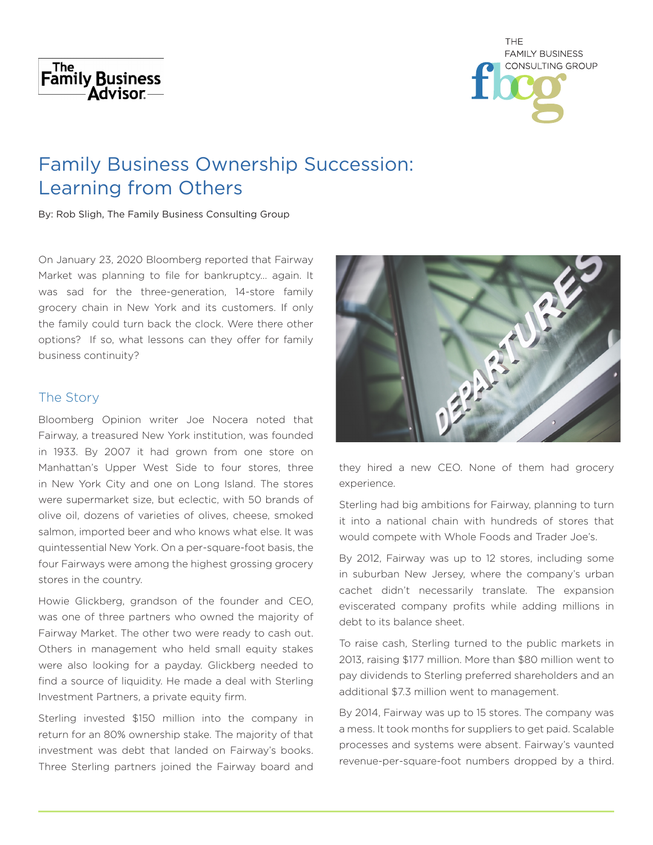# The The Family Business Advisor-



# Family Business Ownership Succession: Learning from Others

By: Rob Sligh, The Family Business Consulting Group

On January 23, 2020 Bloomberg reported that Fairway Market was planning to file for bankruptcy… again. It was sad for the three-generation, 14-store family grocery chain in New York and its customers. If only the family could turn back the clock. Were there other options? If so, what lessons can they offer for family business continuity?

### The Story

Bloomberg Opinion writer Joe Nocera noted that Fairway, a treasured New York institution, was founded in 1933. By 2007 it had grown from one store on Manhattan's Upper West Side to four stores, three in New York City and one on Long Island. The stores were supermarket size, but eclectic, with 50 brands of olive oil, dozens of varieties of olives, cheese, smoked salmon, imported beer and who knows what else. It was quintessential New York. On a per-square-foot basis, the four Fairways were among the highest grossing grocery stores in the country.

Howie Glickberg, grandson of the founder and CEO, was one of three partners who owned the majority of Fairway Market. The other two were ready to cash out. Others in management who held small equity stakes were also looking for a payday. Glickberg needed to find a source of liquidity. He made a deal with Sterling Investment Partners, a private equity firm.

Sterling invested \$150 million into the company in return for an 80% ownership stake. The majority of that investment was debt that landed on Fairway's books. Three Sterling partners joined the Fairway board and



they hired a new CEO. None of them had grocery experience.

Sterling had big ambitions for Fairway, planning to turn it into a national chain with hundreds of stores that would compete with Whole Foods and Trader Joe's.

By 2012, Fairway was up to 12 stores, including some in suburban New Jersey, where the company's urban cachet didn't necessarily translate. The expansion eviscerated company profits while adding millions in debt to its balance sheet.

To raise cash, Sterling turned to the public markets in 2013, raising \$177 million. More than \$80 million went to pay dividends to Sterling preferred shareholders and an additional \$7.3 million went to management.

By 2014, Fairway was up to 15 stores. The company was a mess. It took months for suppliers to get paid. Scalable processes and systems were absent. Fairway's vaunted revenue-per-square-foot numbers dropped by a third.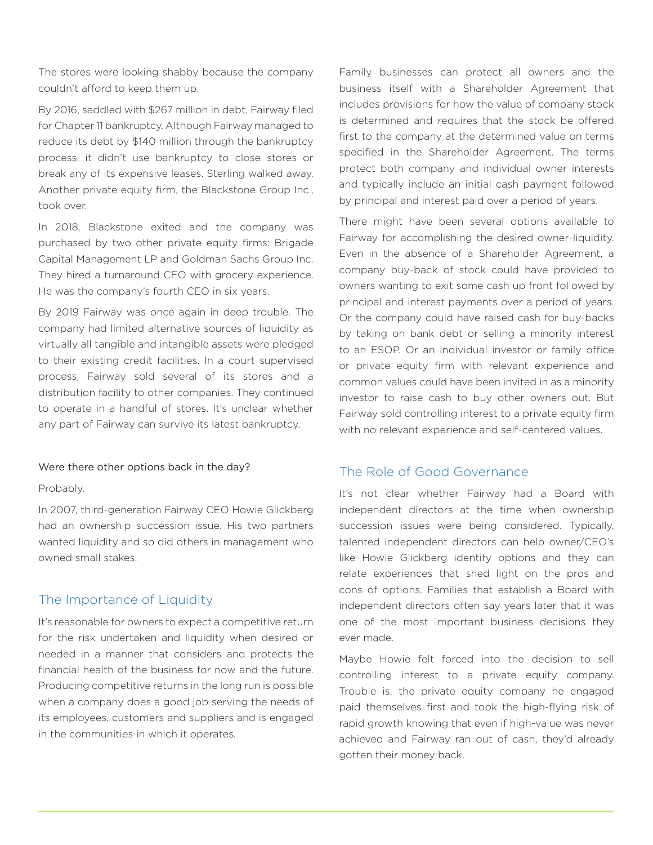The stores were looking shabby because the company couldn't afford to keep them up.

By 2016, saddled with \$267 million in debt, Fairway filed for Chapter 11 bankruptcy. Although Fairway managed to reduce its debt by \$140 million through the bankruptcy process, it didn't use bankruptcy to close stores or break any of its expensive leases. Sterling walked away. Another private equity firm, the Blackstone Group Inc., took over.

In 2018, Blackstone exited and the company was purchased by two other private equity firms: Brigade Capital Management LP and Goldman Sachs Group Inc. They hired a turnaround CEO with grocery experience. He was the company's fourth CEO in six years.

By 2019 Fairway was once again in deep trouble. The company had limited alternative sources of liquidity as virtually all tangible and intangible assets were pledged to their existing credit facilities. In a court supervised process, Fairway sold several of its stores and a distribution facility to other companies. They continued to operate in a handful of stores. It's unclear whether any part of Fairway can survive its latest bankruptcy.

#### Were there other options back in the day?

#### Probably.

In 2007, third-generation Fairway CEO Howie Glickberg had an ownership succession issue. His two partners wanted liquidity and so did others in management who owned small stakes.

### The Importance of Liquidity

It's reasonable for owners to expect a competitive return for the risk undertaken and liquidity when desired or needed in a manner that considers and protects the financial health of the business for now and the future. Producing competitive returns in the long run is possible when a company does a good job serving the needs of its employees, customers and suppliers and is engaged in the communities in which it operates.

Family businesses can protect all owners and the business itself with a Shareholder Agreement that includes provisions for how the value of company stock is determined and requires that the stock be offered first to the company at the determined value on terms specified in the Shareholder Agreement. The terms protect both company and individual owner interests and typically include an initial cash payment followed by principal and interest paid over a period of years.

There might have been several options available to Fairway for accomplishing the desired owner-liquidity. Even in the absence of a Shareholder Agreement, a company buy-back of stock could have provided to owners wanting to exit some cash up front followed by principal and interest payments over a period of years. Or the company could have raised cash for buy-backs by taking on bank debt or selling a minority interest to an ESOP. Or an individual investor or family office or private equity firm with relevant experience and common values could have been invited in as a minority investor to raise cash to buy other owners out. But Fairway sold controlling interest to a private equity firm with no relevant experience and self-centered values.

## The Role of Good Governance

It's not clear whether Fairway had a Board with independent directors at the time when ownership succession issues were being considered. Typically, talented independent directors can help owner/CEO's like Howie Glickberg identify options and they can relate experiences that shed light on the pros and cons of options. Families that establish a Board with independent directors often say years later that it was one of the most important business decisions they ever made.

Maybe Howie felt forced into the decision to sell controlling interest to a private equity company. Trouble is, the private equity company he engaged paid themselves first and took the high-flying risk of rapid growth knowing that even if high-value was never achieved and Fairway ran out of cash, they'd already gotten their money back.